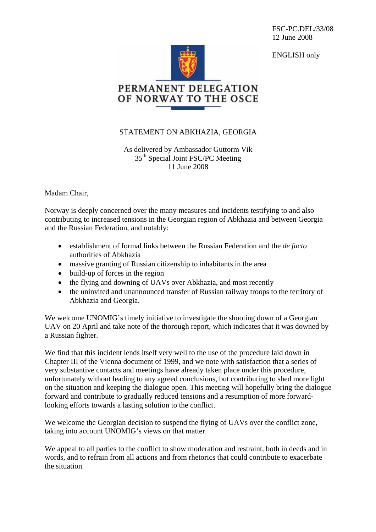FSC-PC.DEL/33/08 12 June 2008

ENGLISH only



## STATEMENT ON ABKHAZIA, GEORGIA

As delivered by Ambassador Guttorm Vik 35<sup>th</sup> Special Joint FSC/PC Meeting 11 June 2008

Madam Chair,

Norway is deeply concerned over the many measures and incidents testifying to and also contributing to increased tensions in the Georgian region of Abkhazia and between Georgia and the Russian Federation, and notably:

- establishment of formal links between the Russian Federation and the *de facto* authorities of Abkhazia
- massive granting of Russian citizenship to inhabitants in the area
- build-up of forces in the region
- the flying and downing of UAVs over Abkhazia, and most recently
- the uninvited and unannounced transfer of Russian railway troops to the territory of Abkhazia and Georgia.

We welcome UNOMIG's timely initiative to investigate the shooting down of a Georgian UAV on 20 April and take note of the thorough report, which indicates that it was downed by a Russian fighter.

We find that this incident lends itself very well to the use of the procedure laid down in Chapter III of the Vienna document of 1999, and we note with satisfaction that a series of very substantive contacts and meetings have already taken place under this procedure, unfortunately without leading to any agreed conclusions, but contributing to shed more light on the situation and keeping the dialogue open. This meeting will hopefully bring the dialogue forward and contribute to gradually reduced tensions and a resumption of more forwardlooking efforts towards a lasting solution to the conflict.

We welcome the Georgian decision to suspend the flying of UAVs over the conflict zone, taking into account UNOMIG's views on that matter.

We appeal to all parties to the conflict to show moderation and restraint, both in deeds and in words, and to refrain from all actions and from rhetorics that could contribute to exacerbate the situation.